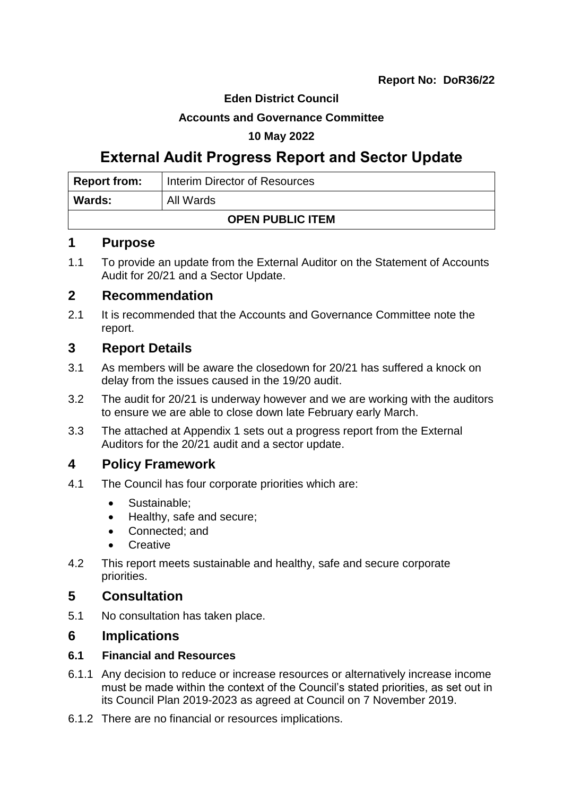# **Eden District Council**

#### **Accounts and Governance Committee**

# **10 May 2022**

# **External Audit Progress Report and Sector Update**

| <b>Report from:</b>     | Interim Director of Resources |  |  |
|-------------------------|-------------------------------|--|--|
| <b>Wards:</b>           | All Wards                     |  |  |
| <b>OPEN PUBLIC ITEM</b> |                               |  |  |

# **1 Purpose**

1.1 To provide an update from the External Auditor on the Statement of Accounts Audit for 20/21 and a Sector Update.

# **2 Recommendation**

2.1 It is recommended that the Accounts and Governance Committee note the report.

# **3 Report Details**

- 3.1 As members will be aware the closedown for 20/21 has suffered a knock on delay from the issues caused in the 19/20 audit.
- 3.2 The audit for 20/21 is underway however and we are working with the auditors to ensure we are able to close down late February early March.
- 3.3 The attached at Appendix 1 sets out a progress report from the External Auditors for the 20/21 audit and a sector update.

# **4 Policy Framework**

- 4.1 The Council has four corporate priorities which are:
	- Sustainable:
	- Healthy, safe and secure;
	- Connected; and
	- **•** Creative
- 4.2 This report meets sustainable and healthy, safe and secure corporate priorities.

# **5 Consultation**

5.1 No consultation has taken place.

# **6 Implications**

#### **6.1 Financial and Resources**

- 6.1.1 Any decision to reduce or increase resources or alternatively increase income must be made within the context of the Council's stated priorities, as set out in its Council Plan 2019-2023 as agreed at Council on 7 November 2019.
- 6.1.2 There are no financial or resources implications.